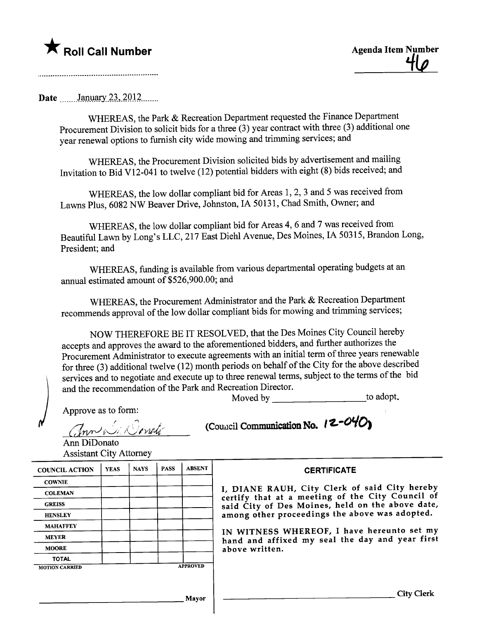## $\bigstar$  Roll Call Number

**Date** January 23, 2012

WHEREAS, the Park & Recreation Department requested the Finance Department Procurement Division to solicit bids for a three (3) year contract with three (3) additional one year renewal options to furnish city wide mowing and trimming services; and

WHEREAS, the Procurement Division solicited bids by advertisement and mailing Invitation to Bid V12-041 to twelve (12) potential bidders with eight (8) bids received; and

WHEREAS, the low dollar compliant bid for Areas 1, 2, 3 and 5 was received from Lawns Plus, 6082 NW Beaver Drive, Johnston, IA 50131, Chad Smith, Owner; and

WHEREAS, the low dollar compliant bid for Areas 4, 6 and 7 was received from Beautiful Lawn by Long's LLC, 217 East Diehl Avenue, Des Moines, IA 50315, Brandon Long, President; and

WHEREAS, funding is available from various departmental operating budgets at an annual estimated amount of \$526,900.00; and

WHEREAS, the Procurement Administrator and the Park & Recreation Department recommends approval of the low dollar compliant bids for mowing and trimming services;

NOW THEREFORE BE IT RESOLVED, that the Des Moines City Council hereby accepts and approves the award to the aforementioned bidders, and further authorizes the Procurement Administrator to execute agreements with an initial term of three years renewable for three (3) additional twelve (12) month periods on behalf of the City for the above described services and to negotiate and execute up to three renewal terms, subject to the terms of the bid and the recommendation of the Park and Recreation Director. Moved by to adopt.

Approve as to form:

(Council Communication No. 12-04C

Ann DiDonato **Assistant City Attorney** 

| <b>COUNCIL ACTION</b> | <b>YEAS</b> | <b>NAYS</b> | <b>PASS</b> | <b>ABSENT</b>   |
|-----------------------|-------------|-------------|-------------|-----------------|
| <b>COWNIE</b>         |             |             |             |                 |
| <b>COLEMAN</b>        |             |             |             |                 |
| <b>GREISS</b>         |             |             |             |                 |
| <b>HENSLEY</b>        |             |             |             |                 |
| <b>MAHAFFEY</b>       |             |             |             |                 |
| <b>MEYER</b>          |             |             |             |                 |
| <b>MOORE</b>          |             |             |             |                 |
| <b>TOTAL</b>          |             |             |             |                 |
| <b>MOTION CARRIED</b> |             |             |             | <b>APPROVED</b> |

**CERTIFICATE** 

I. DIANE RAUH, City Clerk of said City hereby certify that at a meeting of the City Council of<br>said City of Des Moines, held on the above date, among other proceedings the above was adopted.

IN WITNESS WHEREOF, I have hereunto set my hand and affixed my seal the day and year first above written.

Mayor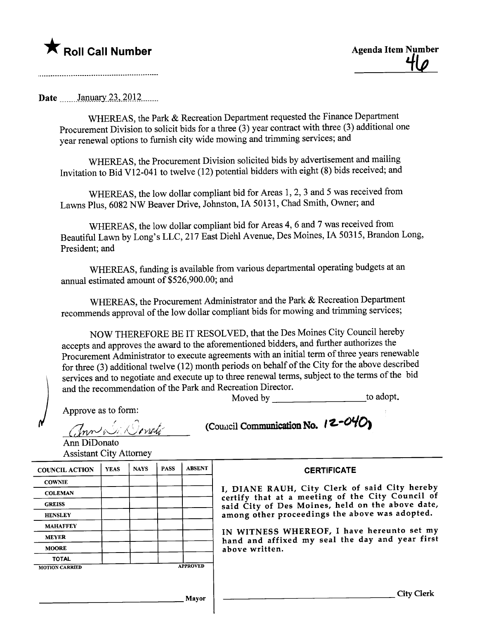## \* Roll Call Number Agenda Item Number

Date  $\frac{\text{January } 23, 2012 \dots}{\text{January } 23.2012 \dots}$ 

WHEREAS, the Park & Recreation Department requested the Finance Department Procurement Division to solicit bids for a three (3) year contract with three (3) additional one year renewal options to furnish city wide mowing and trimming services; and

WHEREAS, the Procurement Division solicited bids by advertisement and mailing Invitation to Bid V12-041 to twelve (12) potential bidders with eight (8) bids received; and

WHEREAS, the low dollar compliant bid for Areas 1, 2, 3 and 5 was received from Lawns Plus, 6082 NW Beaver Drive, Johnston, IA 50131, Chad Smith, Owner; and

WHEREAS, the low dollar compliant bid for Areas 4, 6 and 7 was received from Beautiful Lawn by Long's LLC, 217 East Diehl Avenue, Des Moines, IA 50315, Brandon Long, President; and

WHEREAS, fuding is available from various deparmental operating budgets at an anual estimated amount of \$526,900.00; and

WHEREAS, the Procurement Administrator and the Park & Recreation Department recommends approval of the low dollar compliant bids for mowing and trimming services;

NOW THEREFORE BE IT RESOLVED, that the Des Moines City Council hereby accepts and approves the award to the aforementioned bidders, and further authorizes the Procurement Administrator to execute agreements with an initial term of three years renewable for three (3) additional twelve (12) month periods on behalf of the City for the above described services and to negotiate and execute up to three renewal terms, subject to the terms of the bid and the recommendation of the Park and Recreation Director.<br>Moved by to adopt.

Approve as to form:

 $\mathcal{L}$  in  $\mathcal{L}$  is the  $\mathcal{L}$ 

(Council Communication No.  $12-\frac{\text{O}}{\text{C}}$ 

Ann DiDonato Assistant City Attorney

| <b>COUNCIL ACTION</b> | <b>YEAS</b> | <b>NAYS</b> | <b>PASS</b> | <b>ABSENT</b>   |
|-----------------------|-------------|-------------|-------------|-----------------|
| <b>COWNIE</b>         |             |             |             |                 |
| <b>COLEMAN</b>        |             |             |             |                 |
| <b>GREISS</b>         |             |             |             |                 |
| <b>HENSLEY</b>        |             |             |             |                 |
| <b>MAHAFFEY</b>       |             |             |             |                 |
| <b>MEYER</b>          |             |             |             |                 |
| <b>MOORE</b>          |             |             |             |                 |
| <b>TOTAL</b>          |             |             |             |                 |
| <b>MOTION CARRIED</b> |             |             |             | <b>APPROVED</b> |

**CERTIFICATE** 

I, DIANE RAUH, City Clerk of said City hereby certify that at a meeting of the City Council of said City of Des Moines, held on the above date, among other proceedings the above was adopted.

IN WITNESS WHEREOF, I have hereunto set my hand and affixed my seal the day and year first above written.